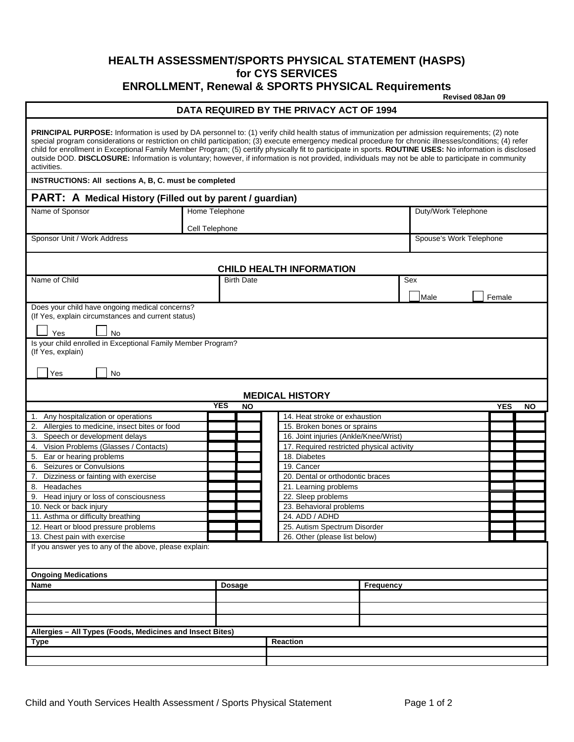## **HEALTH ASSESSMENT/SPORTS PHYSICAL STATEMENT (HASPS) for CYS SERVICES ENROLLMENT, Renewal & SPORTS PHYSICAL Requirements**

**Revised 08Jan 09** 

## **DATA REQUIRED BY THE PRIVACY ACT OF 1994**

| <b>PRINCIPAL PURPOSE:</b> Information is used by DA personnel to: (1) verify child health status of immunization per admission requirements; (2) note<br>special program considerations or restriction on child participation; (3) execute emergency medical procedure for chronic illnesses/conditions; (4) refer<br>child for enrollment in Exceptional Family Member Program; (5) certify physically fit to participate in sports. ROUTINE USES: No information is disclosed<br>outside DOD. DISCLOSURE: Information is voluntary; however, if information is not provided, individuals may not be able to participate in community<br>activities. |                |               |                                           |                     |      |                         |           |  |
|-------------------------------------------------------------------------------------------------------------------------------------------------------------------------------------------------------------------------------------------------------------------------------------------------------------------------------------------------------------------------------------------------------------------------------------------------------------------------------------------------------------------------------------------------------------------------------------------------------------------------------------------------------|----------------|---------------|-------------------------------------------|---------------------|------|-------------------------|-----------|--|
| <b>INSTRUCTIONS: All sections A, B, C. must be completed</b>                                                                                                                                                                                                                                                                                                                                                                                                                                                                                                                                                                                          |                |               |                                           |                     |      |                         |           |  |
| PART: A Medical History (Filled out by parent / guardian)                                                                                                                                                                                                                                                                                                                                                                                                                                                                                                                                                                                             |                |               |                                           |                     |      |                         |           |  |
| Name of Sponsor                                                                                                                                                                                                                                                                                                                                                                                                                                                                                                                                                                                                                                       | Home Telephone |               |                                           | Duty/Work Telephone |      |                         |           |  |
|                                                                                                                                                                                                                                                                                                                                                                                                                                                                                                                                                                                                                                                       | Cell Telephone |               |                                           |                     |      |                         |           |  |
| Sponsor Unit / Work Address                                                                                                                                                                                                                                                                                                                                                                                                                                                                                                                                                                                                                           |                |               |                                           |                     |      | Spouse's Work Telephone |           |  |
|                                                                                                                                                                                                                                                                                                                                                                                                                                                                                                                                                                                                                                                       |                |               |                                           |                     |      |                         |           |  |
|                                                                                                                                                                                                                                                                                                                                                                                                                                                                                                                                                                                                                                                       |                |               | <b>CHILD HEALTH INFORMATION</b>           |                     |      |                         |           |  |
| Name of Child                                                                                                                                                                                                                                                                                                                                                                                                                                                                                                                                                                                                                                         |                |               | Sex                                       |                     |      |                         |           |  |
|                                                                                                                                                                                                                                                                                                                                                                                                                                                                                                                                                                                                                                                       |                |               |                                           |                     | Male | Female                  |           |  |
| Does your child have ongoing medical concerns?                                                                                                                                                                                                                                                                                                                                                                                                                                                                                                                                                                                                        |                |               |                                           |                     |      |                         |           |  |
| (If Yes, explain circumstances and current status)                                                                                                                                                                                                                                                                                                                                                                                                                                                                                                                                                                                                    |                |               |                                           |                     |      |                         |           |  |
| <b>No</b><br>Yes                                                                                                                                                                                                                                                                                                                                                                                                                                                                                                                                                                                                                                      |                |               |                                           |                     |      |                         |           |  |
| Is your child enrolled in Exceptional Family Member Program?<br>(If Yes, explain)                                                                                                                                                                                                                                                                                                                                                                                                                                                                                                                                                                     |                |               |                                           |                     |      |                         |           |  |
|                                                                                                                                                                                                                                                                                                                                                                                                                                                                                                                                                                                                                                                       |                |               |                                           |                     |      |                         |           |  |
| Yes<br><b>No</b>                                                                                                                                                                                                                                                                                                                                                                                                                                                                                                                                                                                                                                      |                |               |                                           |                     |      |                         |           |  |
|                                                                                                                                                                                                                                                                                                                                                                                                                                                                                                                                                                                                                                                       |                |               | <b>MEDICAL HISTORY</b>                    |                     |      |                         |           |  |
|                                                                                                                                                                                                                                                                                                                                                                                                                                                                                                                                                                                                                                                       | <b>YES</b>     | <b>NO</b>     |                                           |                     |      | <b>YES</b>              | <b>NO</b> |  |
| 1. Any hospitalization or operations                                                                                                                                                                                                                                                                                                                                                                                                                                                                                                                                                                                                                  |                |               | 14. Heat stroke or exhaustion             |                     |      |                         |           |  |
| 2. Allergies to medicine, insect bites or food                                                                                                                                                                                                                                                                                                                                                                                                                                                                                                                                                                                                        |                |               | 15. Broken bones or sprains               |                     |      |                         |           |  |
| 3. Speech or development delays                                                                                                                                                                                                                                                                                                                                                                                                                                                                                                                                                                                                                       |                |               | 16. Joint injuries (Ankle/Knee/Wrist)     |                     |      |                         |           |  |
| Vision Problems (Glasses / Contacts)<br>4.                                                                                                                                                                                                                                                                                                                                                                                                                                                                                                                                                                                                            |                |               | 17. Required restricted physical activity |                     |      |                         |           |  |
| 5. Ear or hearing problems                                                                                                                                                                                                                                                                                                                                                                                                                                                                                                                                                                                                                            |                |               | 18. Diabetes                              |                     |      |                         |           |  |
| 6. Seizures or Convulsions                                                                                                                                                                                                                                                                                                                                                                                                                                                                                                                                                                                                                            |                |               | 19. Cancer                                |                     |      |                         |           |  |
| 7. Dizziness or fainting with exercise                                                                                                                                                                                                                                                                                                                                                                                                                                                                                                                                                                                                                |                |               | 20. Dental or orthodontic braces          |                     |      |                         |           |  |
| Headaches<br>8.                                                                                                                                                                                                                                                                                                                                                                                                                                                                                                                                                                                                                                       |                |               | 21. Learning problems                     |                     |      |                         |           |  |
| 9. Head injury or loss of consciousness                                                                                                                                                                                                                                                                                                                                                                                                                                                                                                                                                                                                               |                |               |                                           | 22. Sleep problems  |      |                         |           |  |
| 10. Neck or back injury                                                                                                                                                                                                                                                                                                                                                                                                                                                                                                                                                                                                                               |                |               | 23. Behavioral problems                   |                     |      |                         |           |  |
| 24. ADD / ADHD<br>11. Asthma or difficulty breathing                                                                                                                                                                                                                                                                                                                                                                                                                                                                                                                                                                                                  |                |               |                                           |                     |      |                         |           |  |
| 12. Heart or blood pressure problems<br>25. Autism Spectrum Disorder                                                                                                                                                                                                                                                                                                                                                                                                                                                                                                                                                                                  |                |               |                                           |                     |      |                         |           |  |
| 13. Chest pain with exercise                                                                                                                                                                                                                                                                                                                                                                                                                                                                                                                                                                                                                          |                |               | 26. Other (please list below)             |                     |      |                         |           |  |
| If you answer yes to any of the above, please explain:                                                                                                                                                                                                                                                                                                                                                                                                                                                                                                                                                                                                |                |               |                                           |                     |      |                         |           |  |
|                                                                                                                                                                                                                                                                                                                                                                                                                                                                                                                                                                                                                                                       |                |               |                                           |                     |      |                         |           |  |
| <b>Ongoing Medications</b>                                                                                                                                                                                                                                                                                                                                                                                                                                                                                                                                                                                                                            |                |               |                                           |                     |      |                         |           |  |
| Name                                                                                                                                                                                                                                                                                                                                                                                                                                                                                                                                                                                                                                                  |                | <b>Dosage</b> |                                           | <b>Frequency</b>    |      |                         |           |  |
|                                                                                                                                                                                                                                                                                                                                                                                                                                                                                                                                                                                                                                                       |                |               |                                           |                     |      |                         |           |  |
|                                                                                                                                                                                                                                                                                                                                                                                                                                                                                                                                                                                                                                                       |                |               |                                           |                     |      |                         |           |  |
|                                                                                                                                                                                                                                                                                                                                                                                                                                                                                                                                                                                                                                                       |                |               |                                           |                     |      |                         |           |  |
| Allergies - All Types (Foods, Medicines and Insect Bites)                                                                                                                                                                                                                                                                                                                                                                                                                                                                                                                                                                                             |                |               |                                           |                     |      |                         |           |  |
| <b>Reaction</b><br>Type                                                                                                                                                                                                                                                                                                                                                                                                                                                                                                                                                                                                                               |                |               |                                           |                     |      |                         |           |  |
|                                                                                                                                                                                                                                                                                                                                                                                                                                                                                                                                                                                                                                                       |                |               |                                           |                     |      |                         |           |  |
|                                                                                                                                                                                                                                                                                                                                                                                                                                                                                                                                                                                                                                                       |                |               |                                           |                     |      |                         |           |  |